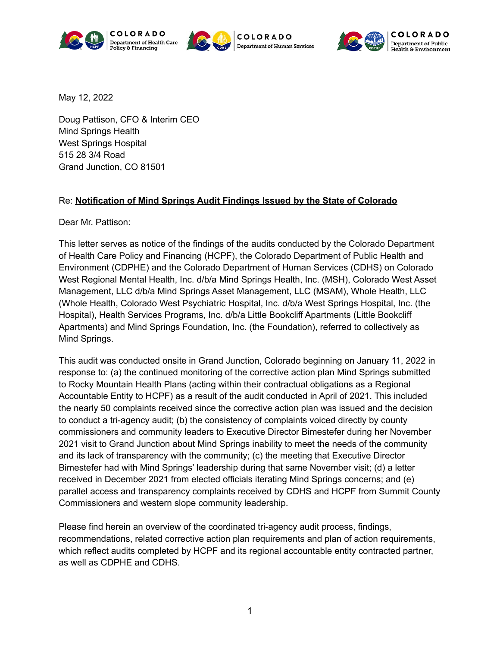







May 12, 2022

Doug Pattison, CFO & Interim CEO Mind Springs Health West Springs Hospital 515 28 3/4 Road Grand Junction, CO 81501

#### Re: **Notification of Mind Springs Audit Findings Issued by the State of Colorado**

Dear Mr. Pattison:

This letter serves as notice of the findings of the audits conducted by the Colorado Department of Health Care Policy and Financing (HCPF), the Colorado Department of Public Health and Environment (CDPHE) and the Colorado Department of Human Services (CDHS) on Colorado West Regional Mental Health, Inc. d/b/a Mind Springs Health, Inc. (MSH), Colorado West Asset Management, LLC d/b/a Mind Springs Asset Management, LLC (MSAM), Whole Health, LLC (Whole Health, Colorado West Psychiatric Hospital, Inc. d/b/a West Springs Hospital, Inc. (the Hospital), Health Services Programs, Inc. d/b/a Little Bookcliff Apartments (Little Bookcliff Apartments) and Mind Springs Foundation, Inc. (the Foundation), referred to collectively as Mind Springs.

This audit was conducted onsite in Grand Junction, Colorado beginning on January 11, 2022 in response to: (a) the continued monitoring of the corrective action plan Mind Springs submitted to Rocky Mountain Health Plans (acting within their contractual obligations as a Regional Accountable Entity to HCPF) as a result of the audit conducted in April of 2021. This included the nearly 50 complaints received since the corrective action plan was issued and the decision to conduct a tri-agency audit; (b) the consistency of complaints voiced directly by county commissioners and community leaders to Executive Director Bimestefer during her November 2021 visit to Grand Junction about Mind Springs inability to meet the needs of the community and its lack of transparency with the community; (c) the meeting that Executive Director Bimestefer had with Mind Springs' leadership during that same November visit; (d) a letter received in December 2021 from elected officials iterating Mind Springs concerns; and (e) parallel access and transparency complaints received by CDHS and HCPF from Summit County Commissioners and western slope community leadership.

Please find herein an overview of the coordinated tri-agency audit process, findings, recommendations, related corrective action plan requirements and plan of action requirements, which reflect audits completed by HCPF and its regional accountable entity contracted partner, as well as CDPHE and CDHS.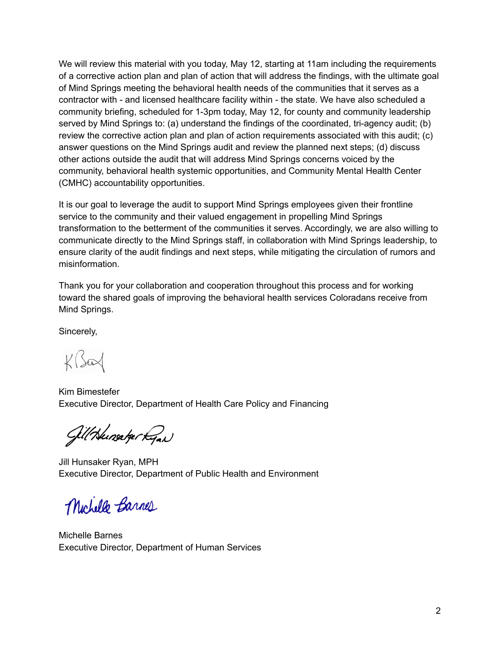We will review this material with you today, May 12, starting at 11am including the requirements of a corrective action plan and plan of action that will address the findings, with the ultimate goal of Mind Springs meeting the behavioral health needs of the communities that it serves as a contractor with - and licensed healthcare facility within - the state. We have also scheduled a community briefing, scheduled for 1-3pm today, May 12, for county and community leadership served by Mind Springs to: (a) understand the findings of the coordinated, tri-agency audit; (b) review the corrective action plan and plan of action requirements associated with this audit; (c) answer questions on the Mind Springs audit and review the planned next steps; (d) discuss other actions outside the audit that will address Mind Springs concerns voiced by the community, behavioral health systemic opportunities, and Community Mental Health Center (CMHC) accountability opportunities.

It is our goal to leverage the audit to support Mind Springs employees given their frontline service to the community and their valued engagement in propelling Mind Springs transformation to the betterment of the communities it serves. Accordingly, we are also willing to communicate directly to the Mind Springs staff, in collaboration with Mind Springs leadership, to ensure clarity of the audit findings and next steps, while mitigating the circulation of rumors and misinformation.

Thank you for your collaboration and cooperation throughout this process and for working toward the shared goals of improving the behavioral health services Coloradans receive from Mind Springs.

Sincerely,

 $K\sqrt{2}$ 

Kim Bimestefer Executive Director, Department of Health Care Policy and Financing

GillHunsakertgan

Jill Hunsaker Ryan, MPH Executive Director, Department of Public Health and Environment

Michelle Barnes

Michelle Barnes Executive Director, Department of Human Services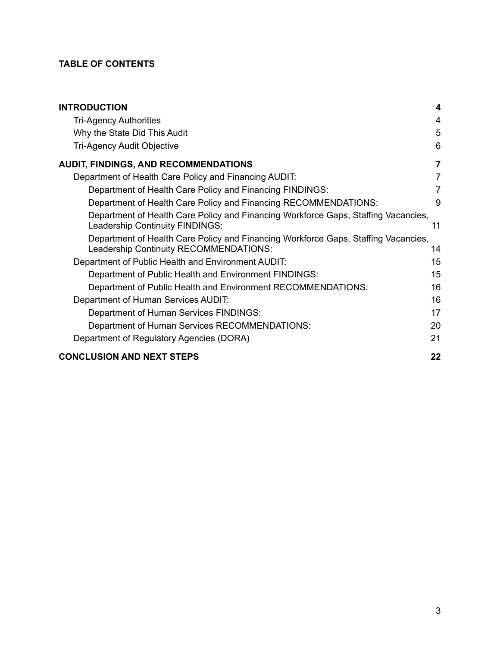#### **TABLE OF CONTENTS**

| <b>INTRODUCTION</b>                                                                                                          | 4              |
|------------------------------------------------------------------------------------------------------------------------------|----------------|
| <b>Tri-Agency Authorities</b>                                                                                                | 4              |
| Why the State Did This Audit                                                                                                 | 5              |
| <b>Tri-Agency Audit Objective</b>                                                                                            | 6              |
| <b>AUDIT, FINDINGS, AND RECOMMENDATIONS</b>                                                                                  | $\overline{7}$ |
| Department of Health Care Policy and Financing AUDIT:                                                                        | 7              |
| Department of Health Care Policy and Financing FINDINGS:                                                                     | 7              |
| Department of Health Care Policy and Financing RECOMMENDATIONS:                                                              | 9              |
| Department of Health Care Policy and Financing Workforce Gaps, Staffing Vacancies,<br>Leadership Continuity FINDINGS:        | 11             |
| Department of Health Care Policy and Financing Workforce Gaps, Staffing Vacancies,<br>Leadership Continuity RECOMMENDATIONS: | 14             |
| Department of Public Health and Environment AUDIT:                                                                           | 15             |
| Department of Public Health and Environment FINDINGS:                                                                        | 15             |
| Department of Public Health and Environment RECOMMENDATIONS:                                                                 | 16             |
| Department of Human Services AUDIT:                                                                                          | 16             |
| Department of Human Services FINDINGS:                                                                                       | 17             |
| Department of Human Services RECOMMENDATIONS:                                                                                | 20             |
| Department of Regulatory Agencies (DORA)                                                                                     | 21             |
| <b>CONCLUSION AND NEXT STEPS</b>                                                                                             | 22             |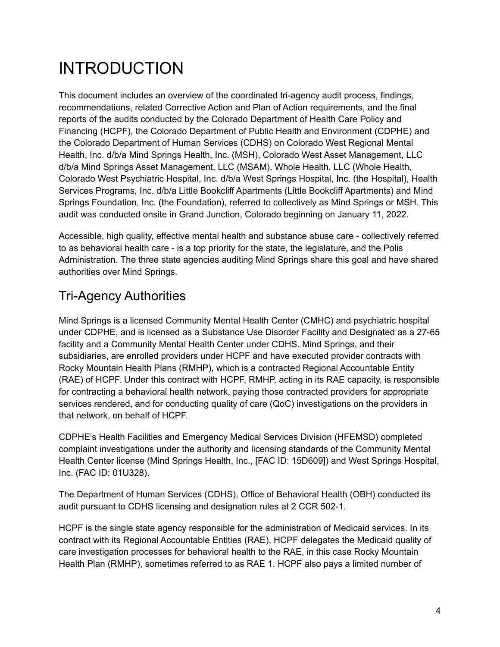# <span id="page-3-0"></span>INTRODUCTION

This document includes an overview of the coordinated tri-agency audit process, findings, recommendations, related Corrective Action and Plan of Action requirements, and the final reports of the audits conducted by the Colorado Department of Health Care Policy and Financing (HCPF), the Colorado Department of Public Health and Environment (CDPHE) and the Colorado Department of Human Services (CDHS) on Colorado West Regional Mental Health, Inc. d/b/a Mind Springs Health, Inc. (MSH), Colorado West Asset Management, LLC d/b/a Mind Springs Asset Management, LLC (MSAM), Whole Health, LLC (Whole Health, Colorado West Psychiatric Hospital, Inc. d/b/a West Springs Hospital, Inc. (the Hospital), Health Services Programs, Inc. d/b/a Little Bookcliff Apartments (Little Bookcliff Apartments) and Mind Springs Foundation, Inc. (the Foundation), referred to collectively as Mind Springs or MSH. This audit was conducted onsite in Grand Junction, Colorado beginning on January 11, 2022.

Accessible, high quality, effective mental health and substance abuse care - collectively referred to as behavioral health care - is a top priority for the state, the legislature, and the Polis Administration. The three state agencies auditing Mind Springs share this goal and have shared authorities over Mind Springs.

# <span id="page-3-1"></span>Tri-Agency Authorities

Mind Springs is a licensed Community Mental Health Center (CMHC) and psychiatric hospital under CDPHE, and is licensed as a Substance Use Disorder Facility and Designated as a 27-65 facility and a Community Mental Health Center under CDHS. Mind Springs, and their subsidiaries, are enrolled providers under HCPF and have executed provider contracts with Rocky Mountain Health Plans (RMHP), which is a contracted Regional Accountable Entity (RAE) of HCPF. Under this contract with HCPF, RMHP, acting in its RAE capacity, is responsible for contracting a behavioral health network, paying those contracted providers for appropriate services rendered, and for conducting quality of care (QoC) investigations on the providers in that network, on behalf of HCPF.

CDPHE's Health Facilities and Emergency Medical Services Division (HFEMSD) completed complaint investigations under the authority and licensing standards of the Community Mental Health Center license (Mind Springs Health, Inc., [FAC ID: 15D609]) and West Springs Hospital, Inc. (FAC ID: 01U328).

The Department of Human Services (CDHS), Office of Behavioral Health (OBH) conducted its audit pursuant to CDHS licensing and designation rules at 2 CCR 502-1.

HCPF is the single state agency responsible for the administration of Medicaid services. In its contract with its Regional Accountable Entities (RAE), HCPF delegates the Medicaid quality of care investigation processes for behavioral health to the RAE, in this case Rocky Mountain Health Plan (RMHP), sometimes referred to as RAE 1. HCPF also pays a limited number of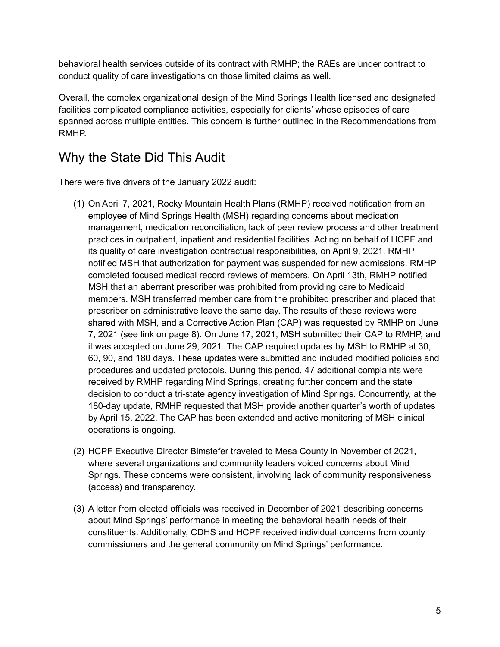behavioral health services outside of its contract with RMHP; the RAEs are under contract to conduct quality of care investigations on those limited claims as well.

Overall, the complex organizational design of the Mind Springs Health licensed and designated facilities complicated compliance activities, especially for clients' whose episodes of care spanned across multiple entities. This concern is further outlined in the Recommendations from RMHP.

## <span id="page-4-0"></span>Why the State Did This Audit

There were five drivers of the January 2022 audit:

- (1) On April 7, 2021, Rocky Mountain Health Plans (RMHP) received notification from an employee of Mind Springs Health (MSH) regarding concerns about medication management, medication reconciliation, lack of peer review process and other treatment practices in outpatient, inpatient and residential facilities. Acting on behalf of HCPF and its quality of care investigation contractual responsibilities, on April 9, 2021, RMHP notified MSH that authorization for payment was suspended for new admissions. RMHP completed focused medical record reviews of members. On April 13th, RMHP notified MSH that an aberrant prescriber was prohibited from providing care to Medicaid members. MSH transferred member care from the prohibited prescriber and placed that prescriber on administrative leave the same day. The results of these reviews were shared with MSH, and a Corrective Action Plan (CAP) was requested by RMHP on June 7, 2021 (see link on page 8). On June 17, 2021, MSH submitted their CAP to RMHP, and it was accepted on June 29, 2021. The CAP required updates by MSH to RMHP at 30, 60, 90, and 180 days. These updates were submitted and included modified policies and procedures and updated protocols. During this period, 47 additional complaints were received by RMHP regarding Mind Springs, creating further concern and the state decision to conduct a tri-state agency investigation of Mind Springs. Concurrently, at the 180-day update, RMHP requested that MSH provide another quarter's worth of updates by April 15, 2022. The CAP has been extended and active monitoring of MSH clinical operations is ongoing.
- (2) HCPF Executive Director Bimstefer traveled to Mesa County in November of 2021, where several organizations and community leaders voiced concerns about Mind Springs. These concerns were consistent, involving lack of community responsiveness (access) and transparency.
- (3) A letter from elected officials was received in December of 2021 describing concerns about Mind Springs' performance in meeting the behavioral health needs of their constituents. Additionally, CDHS and HCPF received individual concerns from county commissioners and the general community on Mind Springs' performance.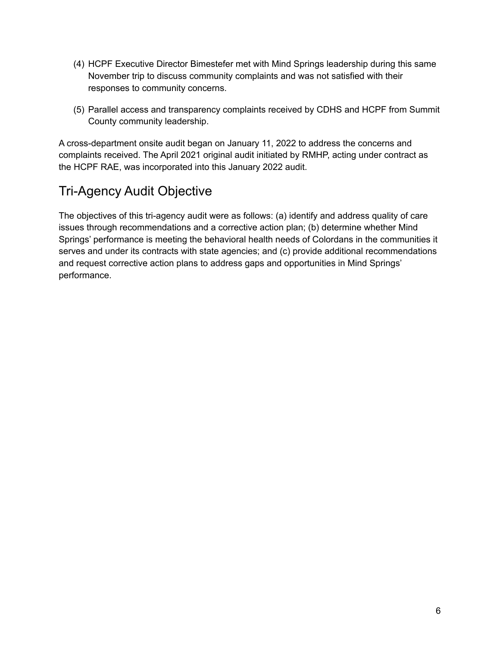- (4) HCPF Executive Director Bimestefer met with Mind Springs leadership during this same November trip to discuss community complaints and was not satisfied with their responses to community concerns.
- (5) Parallel access and transparency complaints received by CDHS and HCPF from Summit County community leadership.

A cross-department onsite audit began on January 11, 2022 to address the concerns and complaints received. The April 2021 original audit initiated by RMHP, acting under contract as the HCPF RAE, was incorporated into this January 2022 audit.

# <span id="page-5-0"></span>Tri-Agency Audit Objective

The objectives of this tri-agency audit were as follows: (a) identify and address quality of care issues through recommendations and a corrective action plan; (b) determine whether Mind Springs' performance is meeting the behavioral health needs of Colordans in the communities it serves and under its contracts with state agencies; and (c) provide additional recommendations and request corrective action plans to address gaps and opportunities in Mind Springs' performance.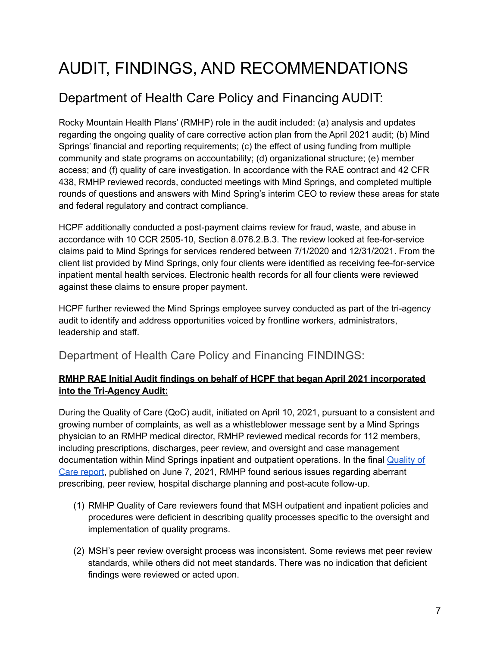# <span id="page-6-0"></span>AUDIT, FINDINGS, AND RECOMMENDATIONS

# <span id="page-6-1"></span>Department of Health Care Policy and Financing AUDIT:

Rocky Mountain Health Plans' (RMHP) role in the audit included: (a) analysis and updates regarding the ongoing quality of care corrective action plan from the April 2021 audit; (b) Mind Springs' financial and reporting requirements; (c) the effect of using funding from multiple community and state programs on accountability; (d) organizational structure; (e) member access; and (f) quality of care investigation. In accordance with the RAE contract and 42 CFR 438, RMHP reviewed records, conducted meetings with Mind Springs, and completed multiple rounds of questions and answers with Mind Spring's interim CEO to review these areas for state and federal regulatory and contract compliance.

HCPF additionally conducted a post-payment claims review for fraud, waste, and abuse in accordance with 10 CCR 2505-10, Section 8.076.2.B.3. The review looked at fee-for-service claims paid to Mind Springs for services rendered between 7/1/2020 and 12/31/2021. From the client list provided by Mind Springs, only four clients were identified as receiving fee-for-service inpatient mental health services. Electronic health records for all four clients were reviewed against these claims to ensure proper payment.

HCPF further reviewed the Mind Springs employee survey conducted as part of the tri-agency audit to identify and address opportunities voiced by frontline workers, administrators, leadership and staff.

### <span id="page-6-2"></span>Department of Health Care Policy and Financing FINDINGS:

#### **RMHP RAE Initial Audit findings on behalf of HCPF that began April 2021 incorporated into the Tri-Agency Audit:**

During the Quality of Care (QoC) audit, initiated on April 10, 2021, pursuant to a consistent and growing number of complaints, as well as a whistleblower message sent by a Mind Springs physician to an RMHP medical director, RMHP reviewed medical records for 112 members, including prescriptions, discharges, peer review, and oversight and case management documentation within Mind Springs inpatient and outpatient operations. In the final [Quality](https://hcpf.colorado.gov/sites/hcpf/files/6.7.21%20MSH%20QOC%20Review%2C%20RMHP%20to%20MSH%20Letter.pdf) of Care [report,](https://hcpf.colorado.gov/sites/hcpf/files/6.7.21%20MSH%20QOC%20Review%2C%20RMHP%20to%20MSH%20Letter.pdf) published on June 7, 2021, RMHP found serious issues regarding aberrant prescribing, peer review, hospital discharge planning and post-acute follow-up.

- (1) RMHP Quality of Care reviewers found that MSH outpatient and inpatient policies and procedures were deficient in describing quality processes specific to the oversight and implementation of quality programs.
- (2) MSH's peer review oversight process was inconsistent. Some reviews met peer review standards, while others did not meet standards. There was no indication that deficient findings were reviewed or acted upon.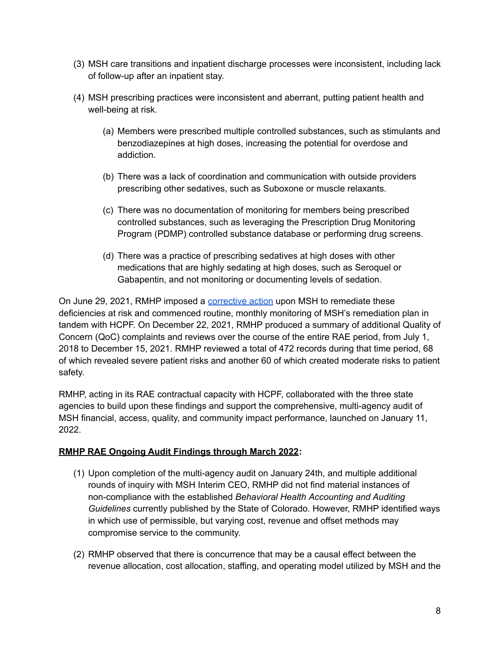- (3) MSH care transitions and inpatient discharge processes were inconsistent, including lack of follow-up after an inpatient stay.
- (4) MSH prescribing practices were inconsistent and aberrant, putting patient health and well-being at risk.
	- (a) Members were prescribed multiple controlled substances, such as stimulants and benzodiazepines at high doses, increasing the potential for overdose and addiction.
	- (b) There was a lack of coordination and communication with outside providers prescribing other sedatives, such as Suboxone or muscle relaxants.
	- (c) There was no documentation of monitoring for members being prescribed controlled substances, such as leveraging the Prescription Drug Monitoring Program (PDMP) controlled substance database or performing drug screens.
	- (d) There was a practice of prescribing sedatives at high doses with other medications that are highly sedating at high doses, such as Seroquel or Gabapentin, and not monitoring or documenting levels of sedation.

On June 29, 2021, RMHP imposed a [corrective](https://hcpf.colorado.gov/sites/hcpf/files/6.29.21%20MSH%20QOC%20Review%20RMHP%20Response%20Letter.pdf) action upon MSH to remediate these deficiencies at risk and commenced routine, monthly monitoring of MSH's remediation plan in tandem with HCPF. On December 22, 2021, RMHP produced a summary of additional Quality of Concern (QoC) complaints and reviews over the course of the entire RAE period, from July 1, 2018 to December 15, 2021. RMHP reviewed a total of 472 records during that time period, 68 of which revealed severe patient risks and another 60 of which created moderate risks to patient safety.

RMHP, acting in its RAE contractual capacity with HCPF, collaborated with the three state agencies to build upon these findings and support the comprehensive, multi-agency audit of MSH financial, access, quality, and community impact performance, launched on January 11, 2022.

#### **RMHP RAE Ongoing Audit Findings through March 2022:**

- (1) Upon completion of the multi-agency audit on January 24th, and multiple additional rounds of inquiry with MSH Interim CEO, RMHP did not find material instances of non-compliance with the established *Behavioral Health Accounting and Auditing Guidelines* currently published by the State of Colorado. However, RMHP identified ways in which use of permissible, but varying cost, revenue and offset methods may compromise service to the community.
- (2) RMHP observed that there is concurrence that may be a causal effect between the revenue allocation, cost allocation, staffing, and operating model utilized by MSH and the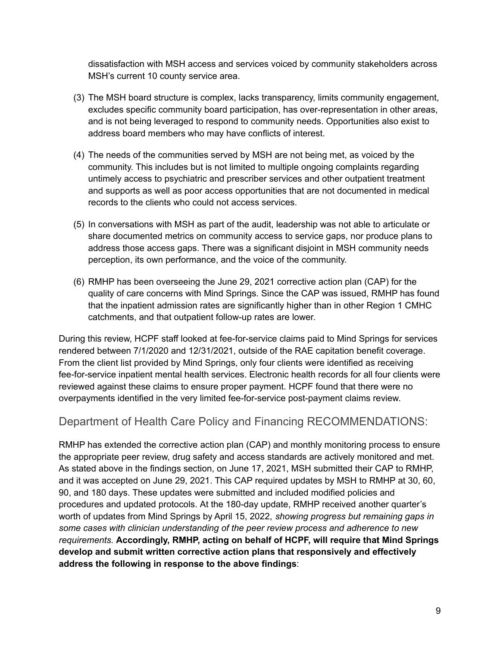dissatisfaction with MSH access and services voiced by community stakeholders across MSH's current 10 county service area.

- (3) The MSH board structure is complex, lacks transparency, limits community engagement, excludes specific community board participation, has over-representation in other areas, and is not being leveraged to respond to community needs. Opportunities also exist to address board members who may have conflicts of interest.
- (4) The needs of the communities served by MSH are not being met, as voiced by the community. This includes but is not limited to multiple ongoing complaints regarding untimely access to psychiatric and prescriber services and other outpatient treatment and supports as well as poor access opportunities that are not documented in medical records to the clients who could not access services.
- (5) In conversations with MSH as part of the audit, leadership was not able to articulate or share documented metrics on community access to service gaps, nor produce plans to address those access gaps. There was a significant disjoint in MSH community needs perception, its own performance, and the voice of the community.
- (6) RMHP has been overseeing the June 29, 2021 corrective action plan (CAP) for the quality of care concerns with Mind Springs. Since the CAP was issued, RMHP has found that the inpatient admission rates are significantly higher than in other Region 1 CMHC catchments, and that outpatient follow-up rates are lower.

During this review, HCPF staff looked at fee-for-service claims paid to Mind Springs for services rendered between 7/1/2020 and 12/31/2021, outside of the RAE capitation benefit coverage. From the client list provided by Mind Springs, only four clients were identified as receiving fee-for-service inpatient mental health services. Electronic health records for all four clients were reviewed against these claims to ensure proper payment. HCPF found that there were no overpayments identified in the very limited fee-for-service post-payment claims review.

### <span id="page-8-0"></span>Department of Health Care Policy and Financing RECOMMENDATIONS:

RMHP has extended the corrective action plan (CAP) and monthly monitoring process to ensure the appropriate peer review, drug safety and access standards are actively monitored and met. As stated above in the findings section, on June 17, 2021, MSH submitted their CAP to RMHP, and it was accepted on June 29, 2021. This CAP required updates by MSH to RMHP at 30, 60, 90, and 180 days. These updates were submitted and included modified policies and procedures and updated protocols. At the 180-day update, RMHP received another quarter's worth of updates from Mind Springs by April 15, 2022, *showing progress but remaining gaps in some cases with clinician understanding of the peer review process and adherence to new requirements.* **Accordingly, RMHP, acting on behalf of HCPF, will require that Mind Springs develop and submit written corrective action plans that responsively and effectively address the following in response to the above findings**: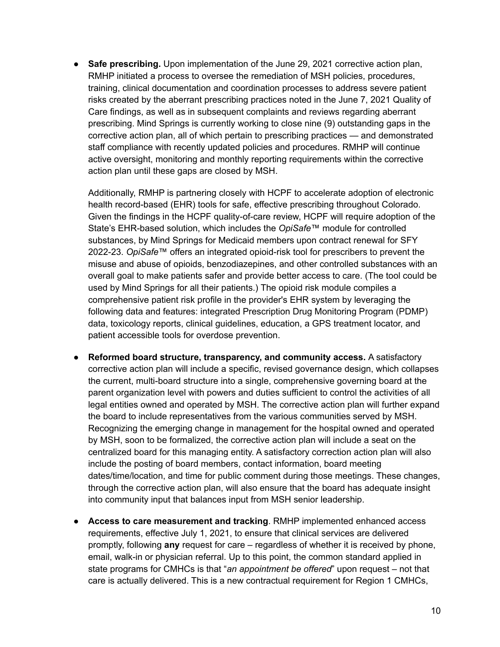● **Safe prescribing.** Upon implementation of the June 29, 2021 corrective action plan, RMHP initiated a process to oversee the remediation of MSH policies, procedures, training, clinical documentation and coordination processes to address severe patient risks created by the aberrant prescribing practices noted in the June 7, 2021 Quality of Care findings, as well as in subsequent complaints and reviews regarding aberrant prescribing. Mind Springs is currently working to close nine (9) outstanding gaps in the corrective action plan, all of which pertain to prescribing practices — and demonstrated staff compliance with recently updated policies and procedures. RMHP will continue active oversight, monitoring and monthly reporting requirements within the corrective action plan until these gaps are closed by MSH.

Additionally, RMHP is partnering closely with HCPF to accelerate adoption of electronic health record-based (EHR) tools for safe, effective prescribing throughout Colorado. Given the findings in the HCPF quality-of-care review, HCPF will require adoption of the State's EHR-based solution, which includes the *OpiSafe*™ module for controlled substances, by Mind Springs for Medicaid members upon contract renewal for SFY 2022-23. *OpiSafe*™ offers an integrated opioid-risk tool for prescribers to prevent the misuse and abuse of opioids, benzodiazepines, and other controlled substances with an overall goal to make patients safer and provide better access to care. (The tool could be used by Mind Springs for all their patients.) The opioid risk module compiles a comprehensive patient risk profile in the provider's EHR system by leveraging the following data and features: integrated Prescription Drug Monitoring Program (PDMP) data, toxicology reports, clinical guidelines, education, a GPS treatment locator, and patient accessible tools for overdose prevention.

- **Reformed board structure, transparency, and community access.** A satisfactory corrective action plan will include a specific, revised governance design, which collapses the current, multi-board structure into a single, comprehensive governing board at the parent organization level with powers and duties sufficient to control the activities of all legal entities owned and operated by MSH. The corrective action plan will further expand the board to include representatives from the various communities served by MSH. Recognizing the emerging change in management for the hospital owned and operated by MSH, soon to be formalized, the corrective action plan will include a seat on the centralized board for this managing entity. A satisfactory correction action plan will also include the posting of board members, contact information, board meeting dates/time/location, and time for public comment during those meetings. These changes, through the corrective action plan, will also ensure that the board has adequate insight into community input that balances input from MSH senior leadership.
- **Access to care measurement and tracking**. RMHP implemented enhanced access requirements, effective July 1, 2021, to ensure that clinical services are delivered promptly, following **any** request for care – regardless of whether it is received by phone, email, walk-in or physician referral. Up to this point, the common standard applied in state programs for CMHCs is that "*an appointment be offered*" upon request – not that care is actually delivered. This is a new contractual requirement for Region 1 CMHCs,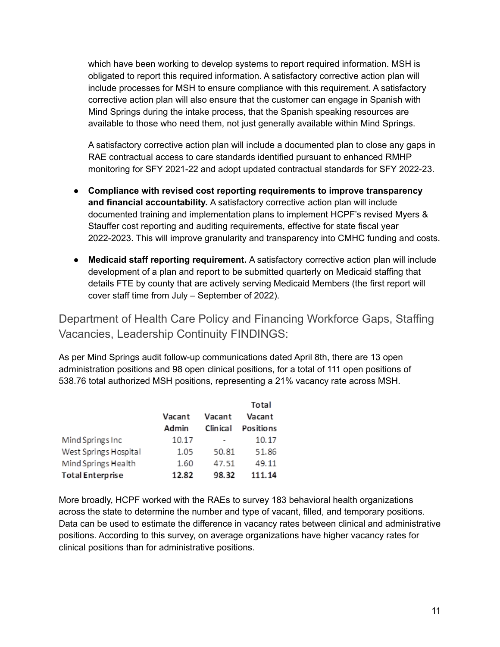which have been working to develop systems to report required information. MSH is obligated to report this required information. A satisfactory corrective action plan will include processes for MSH to ensure compliance with this requirement. A satisfactory corrective action plan will also ensure that the customer can engage in Spanish with Mind Springs during the intake process, that the Spanish speaking resources are available to those who need them, not just generally available within Mind Springs.

A satisfactory corrective action plan will include a documented plan to close any gaps in RAE contractual access to care standards identified pursuant to enhanced RMHP monitoring for SFY 2021-22 and adopt updated contractual standards for SFY 2022-23.

- **Compliance with revised cost reporting requirements to improve transparency and financial accountability.** A satisfactory corrective action plan will include documented training and implementation plans to implement HCPF's revised Myers & Stauffer cost reporting and auditing requirements, effective for state fiscal year 2022-2023. This will improve granularity and transparency into CMHC funding and costs.
- **Medicaid staff reporting requirement.** A satisfactory corrective action plan will include development of a plan and report to be submitted quarterly on Medicaid staffing that details FTE by county that are actively serving Medicaid Members (the first report will cover staff time from July – September of 2022).

<span id="page-10-0"></span>Department of Health Care Policy and Financing Workforce Gaps, Staffing Vacancies, Leadership Continuity FINDINGS:

As per Mind Springs audit follow-up communications dated April 8th, there are 13 open administration positions and 98 open clinical positions, for a total of 111 open positions of 538.76 total authorized MSH positions, representing a 21% vacancy rate across MSH.

|                         |        |           | Total            |
|-------------------------|--------|-----------|------------------|
|                         | Vacant | Vacant    | Vacant           |
|                         | Admin  | Clin ical | <b>Positions</b> |
| Mind Springs Inc        | 10.17  |           | 10.17            |
| West Springs Hospital   | 1.05   | 50.81     | 51.86            |
| Mind Springs Health     | 1.60   | 47.51     | 49.11            |
| <b>Total Enterprise</b> | 12.82  | 98.32     | 111.14           |

More broadly, HCPF worked with the RAEs to survey 183 behavioral health organizations across the state to determine the number and type of vacant, filled, and temporary positions. Data can be used to estimate the difference in vacancy rates between clinical and administrative positions. According to this survey, on average organizations have higher vacancy rates for clinical positions than for administrative positions.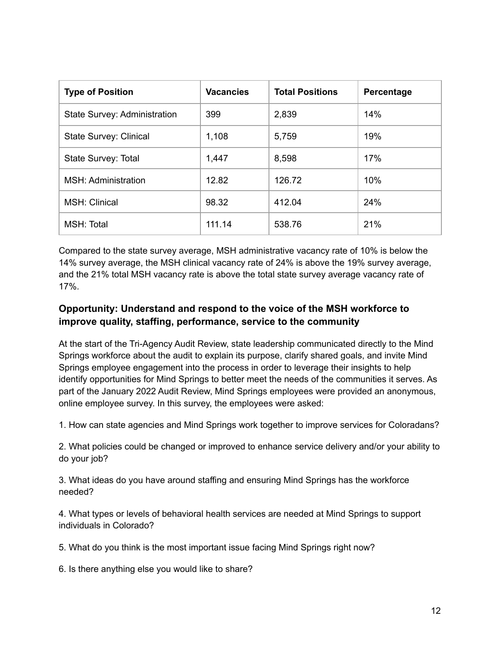| <b>Type of Position</b>             | <b>Vacancies</b> | <b>Total Positions</b> | Percentage |
|-------------------------------------|------------------|------------------------|------------|
| <b>State Survey: Administration</b> | 399              | 2,839                  | 14%        |
| <b>State Survey: Clinical</b>       | 1,108            | 5,759                  | 19%        |
| State Survey: Total                 | 1,447            | 8,598                  | 17%        |
| MSH: Administration                 | 12.82            | 126.72                 | 10%        |
| <b>MSH: Clinical</b>                | 98.32            | 412.04                 | 24%        |
| MSH: Total                          | 111.14           | 538.76                 | 21%        |

Compared to the state survey average, MSH administrative vacancy rate of 10% is below the 14% survey average, the MSH clinical vacancy rate of 24% is above the 19% survey average, and the 21% total MSH vacancy rate is above the total state survey average vacancy rate of 17%.

### **Opportunity: Understand and respond to the voice of the MSH workforce to improve quality, staffing, performance, service to the community**

At the start of the Tri-Agency Audit Review, state leadership communicated directly to the Mind Springs workforce about the audit to explain its purpose, clarify shared goals, and invite Mind Springs employee engagement into the process in order to leverage their insights to help identify opportunities for Mind Springs to better meet the needs of the communities it serves. As part of the January 2022 Audit Review, Mind Springs employees were provided an anonymous, online employee survey. In this survey, the employees were asked:

1. How can state agencies and Mind Springs work together to improve services for Coloradans?

2. What policies could be changed or improved to enhance service delivery and/or your ability to do your job?

3. What ideas do you have around staffing and ensuring Mind Springs has the workforce needed?

4. What types or levels of behavioral health services are needed at Mind Springs to support individuals in Colorado?

5. What do you think is the most important issue facing Mind Springs right now?

6. Is there anything else you would like to share?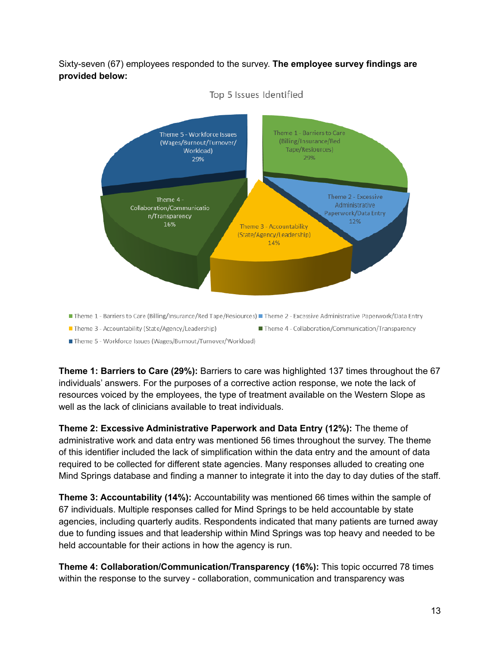Sixty-seven (67) employees responded to the survey. **The employee survey findings are provided below:**



Top 5 Issues Identified

■ Theme 5 - Workforce Issues (Wages/Burnout/Turnover/Workload)

**Theme 1: Barriers to Care (29%):** Barriers to care was highlighted 137 times throughout the 67 individuals' answers. For the purposes of a corrective action response, we note the lack of resources voiced by the employees, the type of treatment available on the Western Slope as well as the lack of clinicians available to treat individuals.

**Theme 2: Excessive Administrative Paperwork and Data Entry (12%):** The theme of administrative work and data entry was mentioned 56 times throughout the survey. The theme of this identifier included the lack of simplification within the data entry and the amount of data required to be collected for different state agencies. Many responses alluded to creating one Mind Springs database and finding a manner to integrate it into the day to day duties of the staff.

**Theme 3: Accountability (14%):** Accountability was mentioned 66 times within the sample of 67 individuals. Multiple responses called for Mind Springs to be held accountable by state agencies, including quarterly audits. Respondents indicated that many patients are turned away due to funding issues and that leadership within Mind Springs was top heavy and needed to be held accountable for their actions in how the agency is run.

**Theme 4: Collaboration/Communication/Transparency (16%):** This topic occurred 78 times within the response to the survey - collaboration, communication and transparency was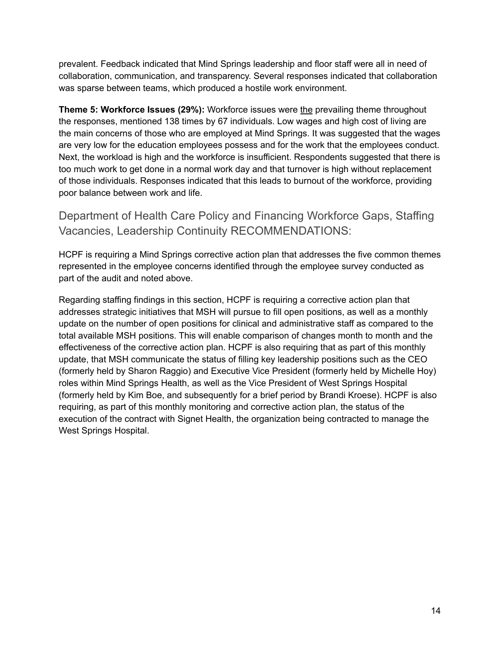prevalent. Feedback indicated that Mind Springs leadership and floor staff were all in need of collaboration, communication, and transparency. Several responses indicated that collaboration was sparse between teams, which produced a hostile work environment.

**Theme 5: Workforce Issues (29%):** Workforce issues were the prevailing theme throughout the responses, mentioned 138 times by 67 individuals. Low wages and high cost of living are the main concerns of those who are employed at Mind Springs. It was suggested that the wages are very low for the education employees possess and for the work that the employees conduct. Next, the workload is high and the workforce is insufficient. Respondents suggested that there is too much work to get done in a normal work day and that turnover is high without replacement of those individuals. Responses indicated that this leads to burnout of the workforce, providing poor balance between work and life.

<span id="page-13-0"></span>Department of Health Care Policy and Financing Workforce Gaps, Staffing Vacancies, Leadership Continuity RECOMMENDATIONS:

HCPF is requiring a Mind Springs corrective action plan that addresses the five common themes represented in the employee concerns identified through the employee survey conducted as part of the audit and noted above.

Regarding staffing findings in this section, HCPF is requiring a corrective action plan that addresses strategic initiatives that MSH will pursue to fill open positions, as well as a monthly update on the number of open positions for clinical and administrative staff as compared to the total available MSH positions. This will enable comparison of changes month to month and the effectiveness of the corrective action plan. HCPF is also requiring that as part of this monthly update, that MSH communicate the status of filling key leadership positions such as the CEO (formerly held by Sharon Raggio) and Executive Vice President (formerly held by Michelle Hoy) roles within Mind Springs Health, as well as the Vice President of West Springs Hospital (formerly held by Kim Boe, and subsequently for a brief period by Brandi Kroese). HCPF is also requiring, as part of this monthly monitoring and corrective action plan, the status of the execution of the contract with Signet Health, the organization being contracted to manage the West Springs Hospital.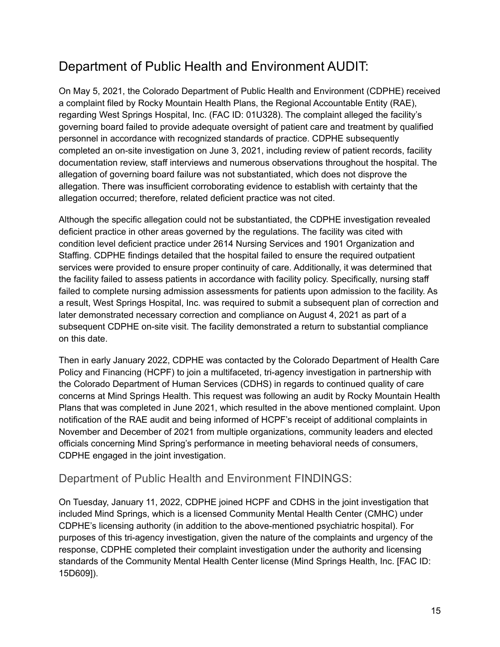## <span id="page-14-0"></span>Department of Public Health and Environment AUDIT:

On May 5, 2021, the Colorado Department of Public Health and Environment (CDPHE) received a complaint filed by Rocky Mountain Health Plans, the Regional Accountable Entity (RAE), regarding West Springs Hospital, Inc. (FAC ID: 01U328). The complaint alleged the facility's governing board failed to provide adequate oversight of patient care and treatment by qualified personnel in accordance with recognized standards of practice. CDPHE subsequently completed an on-site investigation on June 3, 2021, including review of patient records, facility documentation review, staff interviews and numerous observations throughout the hospital. The allegation of governing board failure was not substantiated, which does not disprove the allegation. There was insufficient corroborating evidence to establish with certainty that the allegation occurred; therefore, related deficient practice was not cited.

Although the specific allegation could not be substantiated, the CDPHE investigation revealed deficient practice in other areas governed by the regulations. The facility was cited with condition level deficient practice under 2614 Nursing Services and 1901 Organization and Staffing. CDPHE findings detailed that the hospital failed to ensure the required outpatient services were provided to ensure proper continuity of care. Additionally, it was determined that the facility failed to assess patients in accordance with facility policy. Specifically, nursing staff failed to complete nursing admission assessments for patients upon admission to the facility. As a result, West Springs Hospital, Inc. was required to submit a subsequent plan of correction and later demonstrated necessary correction and compliance on August 4, 2021 as part of a subsequent CDPHE on-site visit. The facility demonstrated a return to substantial compliance on this date.

Then in early January 2022, CDPHE was contacted by the Colorado Department of Health Care Policy and Financing (HCPF) to join a multifaceted, tri-agency investigation in partnership with the Colorado Department of Human Services (CDHS) in regards to continued quality of care concerns at Mind Springs Health. This request was following an audit by Rocky Mountain Health Plans that was completed in June 2021, which resulted in the above mentioned complaint. Upon notification of the RAE audit and being informed of HCPF's receipt of additional complaints in November and December of 2021 from multiple organizations, community leaders and elected officials concerning Mind Spring's performance in meeting behavioral needs of consumers, CDPHE engaged in the joint investigation.

### <span id="page-14-1"></span>Department of Public Health and Environment FINDINGS:

On Tuesday, January 11, 2022, CDPHE joined HCPF and CDHS in the joint investigation that included Mind Springs, which is a licensed Community Mental Health Center (CMHC) under CDPHE's licensing authority (in addition to the above-mentioned psychiatric hospital). For purposes of this tri-agency investigation, given the nature of the complaints and urgency of the response, CDPHE completed their complaint investigation under the authority and licensing standards of the Community Mental Health Center license (Mind Springs Health, Inc. [FAC ID: 15D609]).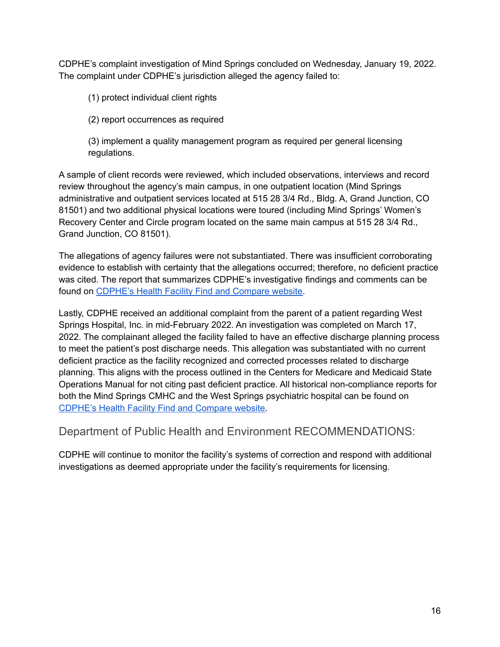CDPHE's complaint investigation of Mind Springs concluded on Wednesday, January 19, 2022. The complaint under CDPHE's jurisdiction alleged the agency failed to:

(1) protect individual client rights

(2) report occurrences as required

(3) implement a quality management program as required per general licensing regulations.

A sample of client records were reviewed, which included observations, interviews and record review throughout the agency's main campus, in one outpatient location (Mind Springs administrative and outpatient services located at 515 28 3/4 Rd., Bldg. A, Grand Junction, CO 81501) and two additional physical locations were toured (including Mind Springs' Women's Recovery Center and Circle program located on the same main campus at 515 28 3/4 Rd., Grand Junction, CO 81501).

The allegations of agency failures were not substantiated. There was insufficient corroborating evidence to establish with certainty that the allegations occurred; therefore, no deficient practice was cited. The report that summarizes CDPHE's investigative findings and comments can be found on [CDPHE's](https://cdphe.colorado.gov/find-and-compare-facilities) Health Facility Find and Compare website.

Lastly, CDPHE received an additional complaint from the parent of a patient regarding West Springs Hospital, Inc. in mid-February 2022. An investigation was completed on March 17, 2022. The complainant alleged the facility failed to have an effective discharge planning process to meet the patient's post discharge needs. This allegation was substantiated with no current deficient practice as the facility recognized and corrected processes related to discharge planning. This aligns with the process outlined in the Centers for Medicare and Medicaid State Operations Manual for not citing past deficient practice. All historical non-compliance reports for both the Mind Springs CMHC and the West Springs psychiatric hospital can be found on [CDPHE's](https://cdphe.colorado.gov/find-and-compare-facilities) Health Facility Find and Compare website.

<span id="page-15-0"></span>Department of Public Health and Environment RECOMMENDATIONS:

CDPHE will continue to monitor the facility's systems of correction and respond with additional investigations as deemed appropriate under the facility's requirements for licensing.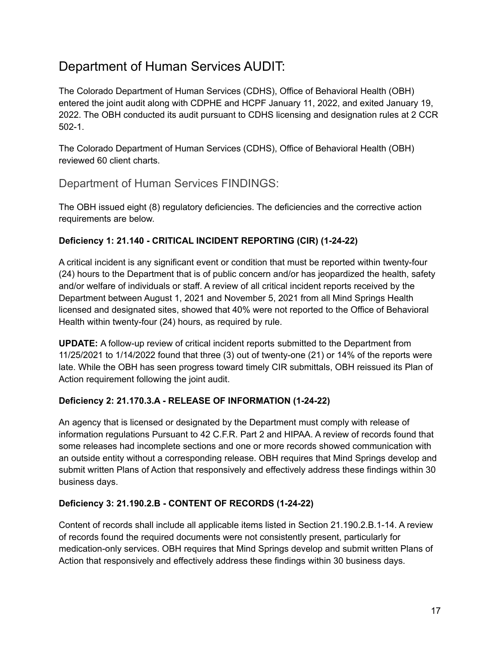### <span id="page-16-0"></span>Department of Human Services AUDIT:

The Colorado Department of Human Services (CDHS), Office of Behavioral Health (OBH) entered the joint audit along with CDPHE and HCPF January 11, 2022, and exited January 19, 2022. The OBH conducted its audit pursuant to CDHS licensing and designation rules at 2 CCR 502-1.

The Colorado Department of Human Services (CDHS), Office of Behavioral Health (OBH) reviewed 60 client charts.

### <span id="page-16-1"></span>Department of Human Services FINDINGS:

The OBH issued eight (8) regulatory deficiencies. The deficiencies and the corrective action requirements are below.

#### **Deficiency 1: 21.140 - CRITICAL INCIDENT REPORTING (CIR) (1-24-22)**

A critical incident is any significant event or condition that must be reported within twenty-four (24) hours to the Department that is of public concern and/or has jeopardized the health, safety and/or welfare of individuals or staff. A review of all critical incident reports received by the Department between August 1, 2021 and November 5, 2021 from all Mind Springs Health licensed and designated sites, showed that 40% were not reported to the Office of Behavioral Health within twenty-four (24) hours, as required by rule.

**UPDATE:** A follow-up review of critical incident reports submitted to the Department from 11/25/2021 to 1/14/2022 found that three (3) out of twenty-one (21) or 14% of the reports were late. While the OBH has seen progress toward timely CIR submittals, OBH reissued its Plan of Action requirement following the joint audit.

#### **Deficiency 2: 21.170.3.A - RELEASE OF INFORMATION (1-24-22)**

An agency that is licensed or designated by the Department must comply with release of information regulations Pursuant to 42 C.F.R. Part 2 and HIPAA. A review of records found that some releases had incomplete sections and one or more records showed communication with an outside entity without a corresponding release. OBH requires that Mind Springs develop and submit written Plans of Action that responsively and effectively address these findings within 30 business days.

#### **Deficiency 3: 21.190.2.B - CONTENT OF RECORDS (1-24-22)**

Content of records shall include all applicable items listed in Section 21.190.2.B.1-14. A review of records found the required documents were not consistently present, particularly for medication-only services. OBH requires that Mind Springs develop and submit written Plans of Action that responsively and effectively address these findings within 30 business days.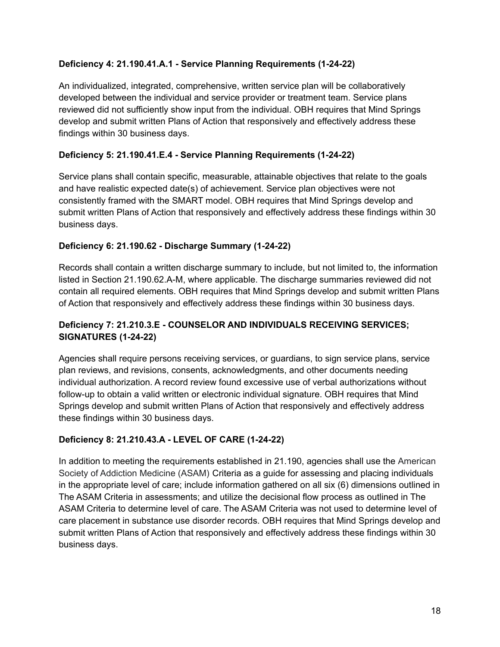#### **Deficiency 4: 21.190.41.A.1 - Service Planning Requirements (1-24-22)**

An individualized, integrated, comprehensive, written service plan will be collaboratively developed between the individual and service provider or treatment team. Service plans reviewed did not sufficiently show input from the individual. OBH requires that Mind Springs develop and submit written Plans of Action that responsively and effectively address these findings within 30 business days.

#### **Deficiency 5: 21.190.41.E.4 - Service Planning Requirements (1-24-22)**

Service plans shall contain specific, measurable, attainable objectives that relate to the goals and have realistic expected date(s) of achievement. Service plan objectives were not consistently framed with the SMART model. OBH requires that Mind Springs develop and submit written Plans of Action that responsively and effectively address these findings within 30 business days.

#### **Deficiency 6: 21.190.62 - Discharge Summary (1-24-22)**

Records shall contain a written discharge summary to include, but not limited to, the information listed in Section 21.190.62.A-M, where applicable. The discharge summaries reviewed did not contain all required elements. OBH requires that Mind Springs develop and submit written Plans of Action that responsively and effectively address these findings within 30 business days.

#### **Deficiency 7: 21.210.3.E - COUNSELOR AND INDIVIDUALS RECEIVING SERVICES; SIGNATURES (1-24-22)**

Agencies shall require persons receiving services, or guardians, to sign service plans, service plan reviews, and revisions, consents, acknowledgments, and other documents needing individual authorization. A record review found excessive use of verbal authorizations without follow-up to obtain a valid written or electronic individual signature. OBH requires that Mind Springs develop and submit written Plans of Action that responsively and effectively address these findings within 30 business days.

#### **Deficiency 8: 21.210.43.A - LEVEL OF CARE (1-24-22)**

In addition to meeting the requirements established in 21.190, agencies shall use the American Society of Addiction Medicine (ASAM) Criteria as a guide for assessing and placing individuals in the appropriate level of care; include information gathered on all six (6) dimensions outlined in The ASAM Criteria in assessments; and utilize the decisional flow process as outlined in The ASAM Criteria to determine level of care. The ASAM Criteria was not used to determine level of care placement in substance use disorder records. OBH requires that Mind Springs develop and submit written Plans of Action that responsively and effectively address these findings within 30 business days.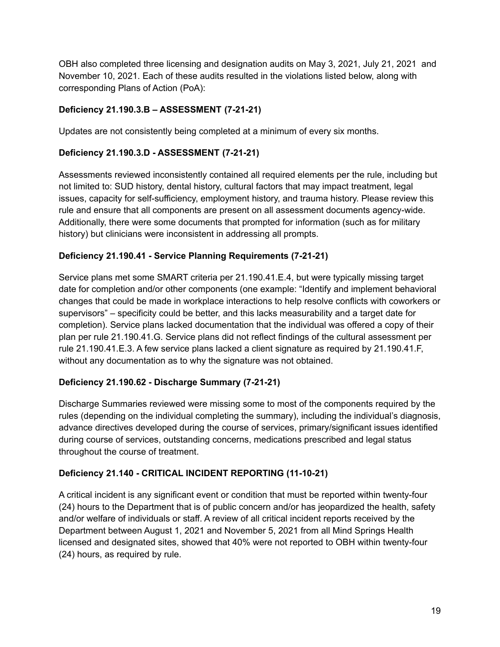OBH also completed three licensing and designation audits on May 3, 2021, July 21, 2021 and November 10, 2021. Each of these audits resulted in the violations listed below, along with corresponding Plans of Action (PoA):

#### **Deficiency 21.190.3.B – ASSESSMENT (7-21-21)**

Updates are not consistently being completed at a minimum of every six months.

#### **Deficiency 21.190.3.D - ASSESSMENT (7-21-21)**

Assessments reviewed inconsistently contained all required elements per the rule, including but not limited to: SUD history, dental history, cultural factors that may impact treatment, legal issues, capacity for self-sufficiency, employment history, and trauma history. Please review this rule and ensure that all components are present on all assessment documents agency-wide. Additionally, there were some documents that prompted for information (such as for military history) but clinicians were inconsistent in addressing all prompts.

#### **Deficiency 21.190.41 - Service Planning Requirements (7-21-21)**

Service plans met some SMART criteria per 21.190.41.E.4, but were typically missing target date for completion and/or other components (one example: "Identify and implement behavioral changes that could be made in workplace interactions to help resolve conflicts with coworkers or supervisors" – specificity could be better, and this lacks measurability and a target date for completion). Service plans lacked documentation that the individual was offered a copy of their plan per rule 21.190.41.G. Service plans did not reflect findings of the cultural assessment per rule 21.190.41.E.3. A few service plans lacked a client signature as required by 21.190.41.F, without any documentation as to why the signature was not obtained.

#### **Deficiency 21.190.62 - Discharge Summary (7-21-21)**

Discharge Summaries reviewed were missing some to most of the components required by the rules (depending on the individual completing the summary), including the individual's diagnosis, advance directives developed during the course of services, primary/significant issues identified during course of services, outstanding concerns, medications prescribed and legal status throughout the course of treatment.

#### **Deficiency 21.140 - CRITICAL INCIDENT REPORTING (11-10-21)**

A critical incident is any significant event or condition that must be reported within twenty-four (24) hours to the Department that is of public concern and/or has jeopardized the health, safety and/or welfare of individuals or staff. A review of all critical incident reports received by the Department between August 1, 2021 and November 5, 2021 from all Mind Springs Health licensed and designated sites, showed that 40% were not reported to OBH within twenty-four (24) hours, as required by rule.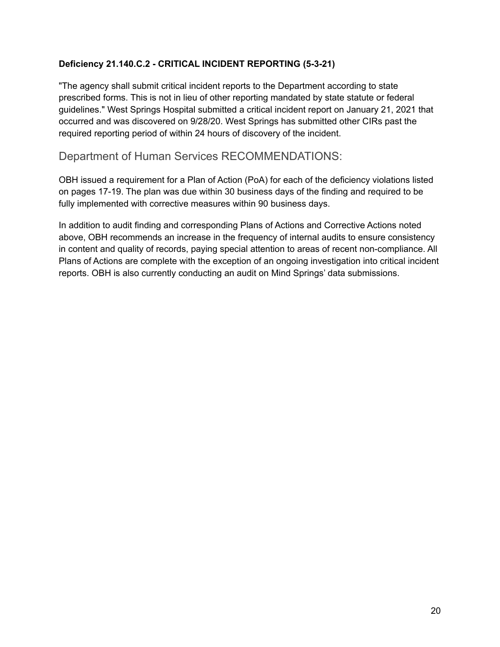#### **Deficiency 21.140.C.2 - CRITICAL INCIDENT REPORTING (5-3-21)**

"The agency shall submit critical incident reports to the Department according to state prescribed forms. This is not in lieu of other reporting mandated by state statute or federal guidelines." West Springs Hospital submitted a critical incident report on January 21, 2021 that occurred and was discovered on 9/28/20. West Springs has submitted other CIRs past the required reporting period of within 24 hours of discovery of the incident.

#### <span id="page-19-0"></span>Department of Human Services RECOMMENDATIONS:

OBH issued a requirement for a Plan of Action (PoA) for each of the deficiency violations listed on pages 17-19. The plan was due within 30 business days of the finding and required to be fully implemented with corrective measures within 90 business days.

In addition to audit finding and corresponding Plans of Actions and Corrective Actions noted above, OBH recommends an increase in the frequency of internal audits to ensure consistency in content and quality of records, paying special attention to areas of recent non-compliance. All Plans of Actions are complete with the exception of an ongoing investigation into critical incident reports. OBH is also currently conducting an audit on Mind Springs' data submissions.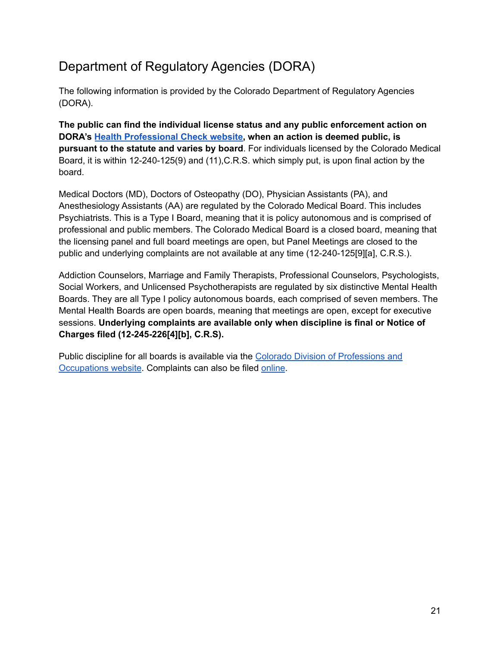## <span id="page-20-0"></span>Department of Regulatory Agencies (DORA)

The following information is provided by the Colorado Department of Regulatory Agencies (DORA).

**The public can find the individual license status and any public enforcement action on DORA's Health [Professional](https://urldefense.proofpoint.com/v2/url?u=https-3A__dpo.colorado.gov_COHPC&d=DwMFaQ&c=sdnEM9SRGFuMt5z5w3AhsPNahmNicq64TgF1JwNR0cs&r=Mj-WdR-WGTlmcaTArOKQPnEQ32GhlwsJigX-L4Zn7Hc&m=iasxnIG3eKzVQ2rDURyssNFnwiP6z5Pi6v0vhNUX8wvm1wY8GZ49hKzNCSm58WTi&s=5Omoz-xILrvOAKCCPzZA23qL1GqF1hpYUeI_7umm5QQ&e=) Check website, when an action is deemed public, is pursuant to the statute and varies by board**. For individuals licensed by the Colorado Medical Board, it is within 12-240-125(9) and (11),C.R.S. which simply put, is upon final action by the board.

Medical Doctors (MD), Doctors of Osteopathy (DO), Physician Assistants (PA), and Anesthesiology Assistants (AA) are regulated by the Colorado Medical Board. This includes Psychiatrists. This is a Type I Board, meaning that it is policy autonomous and is comprised of professional and public members. The Colorado Medical Board is a closed board, meaning that the licensing panel and full board meetings are open, but Panel Meetings are closed to the public and underlying complaints are not available at any time (12-240-125[9][a], C.R.S.).

Addiction Counselors, Marriage and Family Therapists, Professional Counselors, Psychologists, Social Workers, and Unlicensed Psychotherapists are regulated by six distinctive Mental Health Boards. They are all Type I policy autonomous boards, each comprised of seven members. The Mental Health Boards are open boards, meaning that meetings are open, except for executive sessions. **Underlying complaints are available only when discipline is final or Notice of Charges filed (12-245-226[4][b], C.R.S).**

Public discipline for all boards is available via the Colorado Division of [Professions](https://apps.colorado.gov/dora/licensing/Lookup/LicenseLookup.aspx) and [Occupations](https://apps.colorado.gov/dora/licensing/Lookup/LicenseLookup.aspx) website. Complaints can also be filed [online](https://dora.colorado.gov/file-complaint).